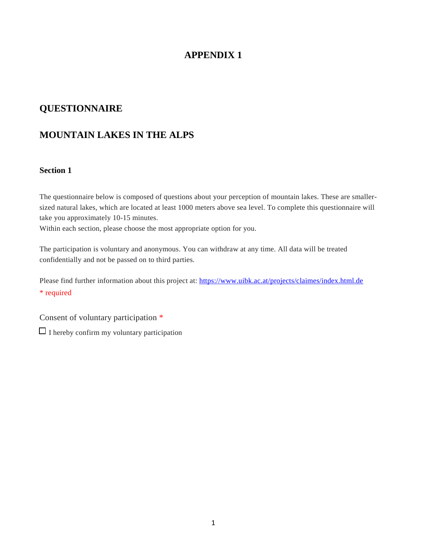# **APPENDIX 1**

# **QUESTIONNAIRE**

# **MOUNTAIN LAKES IN THE ALPS**

### **Section 1**

The questionnaire below is composed of questions about your perception of mountain lakes. These are smallersized natural lakes, which are located at least 1000 meters above sea level. To complete this questionnaire will take you approximately 10-15 minutes.

Within each section, please choose the most appropriate option for you.

The participation is voluntary and anonymous. You can withdraw at any time. All data will be treated confidentially and not be passed on to third parties.

Please find further information about this project at: [https://www.uibk.ac.at/projects/claimes/index.html.de](https://www.google.com/url?q=https://www.uibk.ac.at/projects/claimes/index.html.de&sa=D&source=editors&ust=1625471259161000&usg=AFQjCNHsQMCoOFKzd9GtiMltmPhSi5JVBQ) \* required

Consent of voluntary participation \*

 $\Box$  I hereby confirm my voluntary participation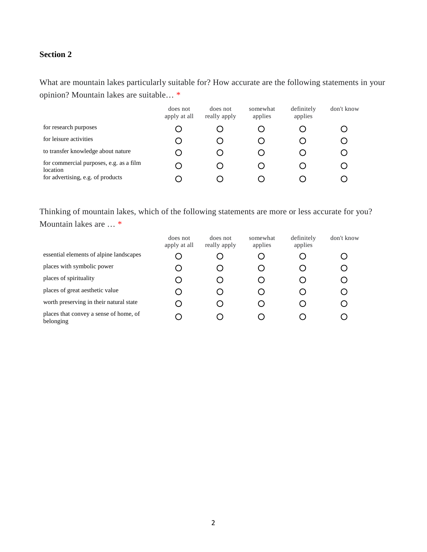What are mountain lakes particularly suitable for? How accurate are the following statements in your opinion? Mountain lakes are suitable… \*

|                                                     | does not<br>apply at all | does not<br>really apply | somewhat<br>applies | definitely<br>applies | don't know |
|-----------------------------------------------------|--------------------------|--------------------------|---------------------|-----------------------|------------|
| for research purposes                               |                          |                          |                     |                       |            |
| for leisure activities                              |                          |                          |                     |                       |            |
| to transfer knowledge about nature                  |                          |                          |                     |                       |            |
| for commercial purposes, e.g. as a film<br>location |                          |                          |                     |                       |            |
| for advertising, e.g. of products                   |                          |                          |                     |                       |            |

Thinking of mountain lakes, which of the following statements are more or less accurate for you? Mountain lakes are … \*

|                                                     | does not<br>apply at all | does not<br>really apply | somewhat<br>applies | definitely<br>applies | don't know |
|-----------------------------------------------------|--------------------------|--------------------------|---------------------|-----------------------|------------|
| essential elements of alpine landscapes             | . )                      |                          |                     |                       |            |
| places with symbolic power                          | . )                      |                          |                     |                       |            |
| places of spirituality                              | . )                      |                          |                     |                       |            |
| places of great aesthetic value                     | ( .                      |                          |                     |                       |            |
| worth preserving in their natural state             | . )                      |                          |                     |                       |            |
| places that convey a sense of home, of<br>belonging | $\ddot{\phantom{1}}$     |                          |                     |                       |            |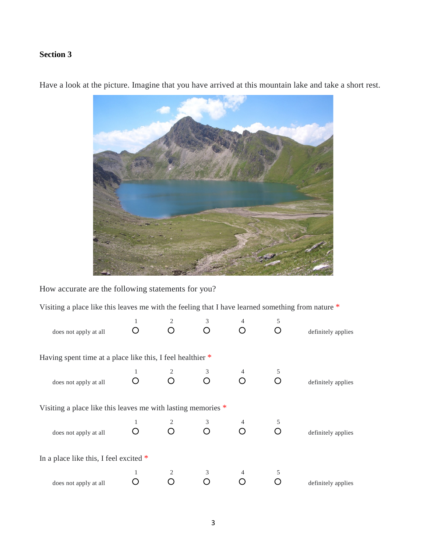

Have a look at the picture. Imagine that you have arrived at this mountain lake and take a short rest.

How accurate are the following statements for you?

Visiting a place like this leaves me with the feeling that I have learned something from nature \*

| does not apply at all                                          |  | 3         |   | 5 | definitely applies |
|----------------------------------------------------------------|--|-----------|---|---|--------------------|
| Having spent time at a place like this, I feel healthier *     |  |           |   |   |                    |
| does not apply at all                                          |  | $\bigcap$ | ∩ |   | definitely applies |
| Visiting a place like this leaves me with lasting memories $*$ |  |           |   |   |                    |
| does not apply at all                                          |  |           |   |   | definitely applies |
| In a place like this, I feel excited $*$                       |  |           |   |   |                    |
| does not apply at all                                          |  |           |   |   | definitely applies |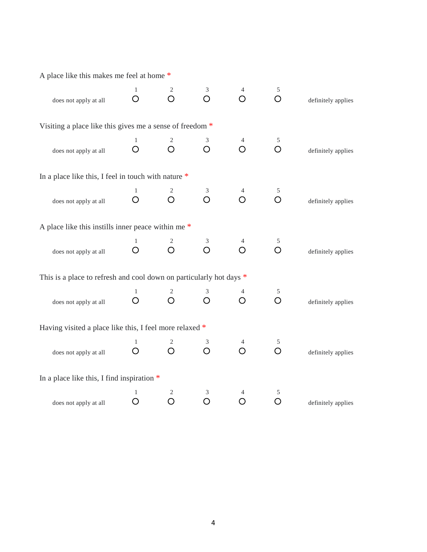| A place like this makes me feel at home *                           |                   |                              |                     |                 |                 |                    |
|---------------------------------------------------------------------|-------------------|------------------------------|---------------------|-----------------|-----------------|--------------------|
| does not apply at all                                               | 1<br>O            | 2<br>$\bigcirc$              | 3<br>$\bigcirc$     | 4<br>$\bigcirc$ | 5<br>$\bigcirc$ | definitely applies |
| Visiting a place like this gives me a sense of freedom *            |                   |                              |                     |                 |                 |                    |
| does not apply at all                                               | 1<br>O            | 2<br>O                       | 3<br>O              | 4<br>O          | 5<br>O          | definitely applies |
| In a place like this, I feel in touch with nature *                 |                   |                              |                     |                 |                 |                    |
| does not apply at all                                               | $\mathbf{1}$<br>O | $\overline{c}$<br>$\bigcirc$ | $\mathfrak{Z}$<br>O | 4<br>O          | 5<br>$\bigcirc$ | definitely applies |
| A place like this instills inner peace within me *                  |                   |                              |                     |                 |                 |                    |
| does not apply at all                                               | 1<br>O            | 2<br>$\bigcirc$              | 3<br>$\overline{O}$ | 4<br>$\bigcirc$ | 5<br>$\bigcirc$ | definitely applies |
| This is a place to refresh and cool down on particularly hot days * |                   |                              |                     |                 |                 |                    |
| does not apply at all                                               | 1<br>O            | 2<br>O                       | 3<br>O              | O               | 5<br>$\bigcirc$ | definitely applies |
| Having visited a place like this, I feel more relaxed *             |                   |                              |                     |                 |                 |                    |
| does not apply at all                                               | $\mathbf{1}$<br>O | 2<br>O                       | 3<br>$\bigcirc$     | 4<br>O          | 5<br>O          | definitely applies |
| In a place like this, I find inspiration $*$                        |                   |                              |                     |                 |                 |                    |
| does not apply at all                                               | 1<br>O            | $\mathfrak{2}$<br>O          | 3<br>O              | O               | 5<br>O          | definitely applies |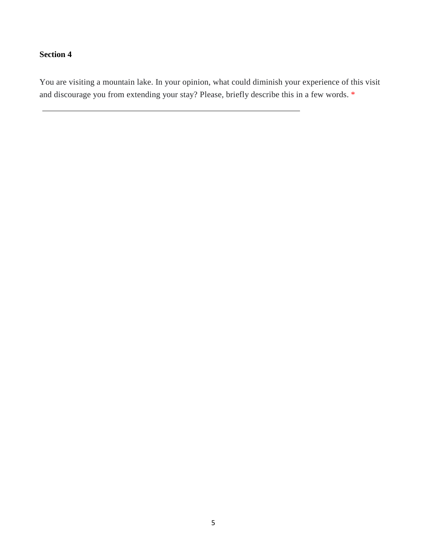You are visiting a mountain lake. In your opinion, what could diminish your experience of this visit and discourage you from extending your stay? Please, briefly describe this in a few words. \*